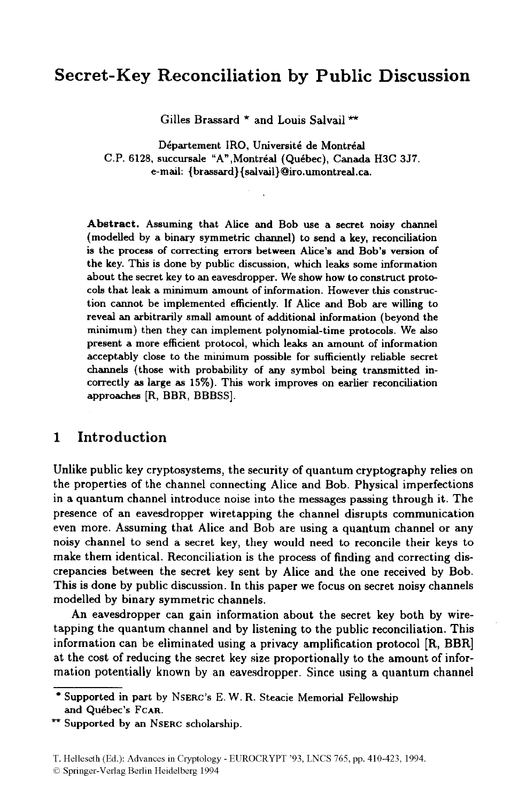# **Secret-Key Reconciliation by Public Discussion**

Gilles Brassard  $*$  and Louis Salvail \*\*

Département IRO, Université de Montréal C.P. 6128, succursale "A", Montréal (Québec), Canada H3C 3J7. e-mail: {brassard} { salvail} Qiro.umontreal **.ca.** 

**Abstract.** Assuming that Alice and Bob use a secret noisy channel (modelled by a binary symmetric channel) to send a key, reconciliation is the process **of** correcting errom between Alice's and Bob's version of the key. **This** is done by public discussion, which leaks some information about the secret key to an eavesdropper. We show how to construct prote cob that leak a minimum amount **of** information. However this construction cannot be implemented efficiently. If Alice and Bob are willing to reveal an arbitrarily small amount of additional information (beyond the minimum) then they can implement polynomial-time protocols. We **also**  present a more efficient protocol, which leaks **an** amount of information acceptably close to the minimum possible for sufficiently reliable secret channels (those with probability of any symbol being transmitted incorrectly **as** large *bs* **15%).** This work improves on earlier reconciliation approaches [R, BBR, BBBSS].

# **1 Introduction**

Unlike public key cryptosystems, the security of quantum cryptography relies on the properties of the channel connecting Alice and Bob. Physical imperfections in a quantum channel introduce noise into the messages passing through it. The presence of an eavesdropper wiretapping the channel disrupts communication even more. Assuming that Alice and Bob are using a quantum channel or any noisy channel to send a secret key, they would need to reconcile their keys to make them identical. Reconciliation is the process of finding and correcting discrepancies between the secret key sent by Alice and the one received by Bob. This is done by public discussion. In this paper we focus on secret noisy channels modelled by binary symmetric channels.

An eavesdropper can gain information about the secret key both by wiretapping the quantum channel and by listening to the public reconciliation. This information can be eliminated using a privacy amplification protocol [R, BBR] at the cost of reducing the secret key size proportionally to the amount of information potentially known by an eavesdropper. Since using a quantum channel

*0* Springer-Verlag Berlin Heidelberg 1994

Supported in part by **NSERC'S** E. W. R. Steacie Memorial Fellowship and Québec's FCAR.

**f\*** Supported by an **NSERC** scholarship.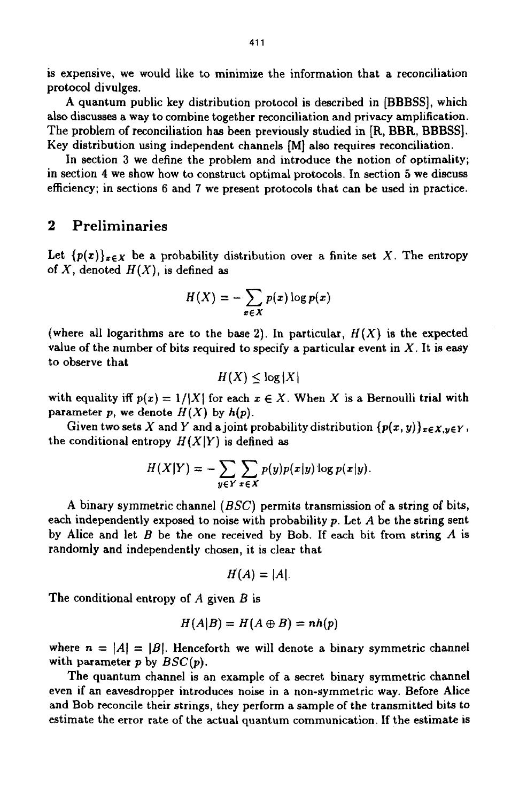is expensive, we would like to minimize the information that a reconciliation protocol divulges.

A quantum public key distribution protocol is described in [BBBSS], which also discusses a way to combine together reconciliation and privacy amplification. The problem of reconciliation has been previously studied in [R, BBR, BBBSS]. Key distribution using independent channels **[MI** also requires reconciliation.

In section 3 we define the problem and introduce the notion of optimality; in section **4** we show how to construct optimal protocols. In section **5** we discuss efficiency; in sections 6 and 7 we present protocols that can be used in practice.

# **2 Preliminaries**

Let  ${p(x)}_{x \in X}$  be a probability distribution over a finite set X. The entropy of X, denoted *H(X),* is defined **as** 

$$
H(X) = -\sum_{x \in X} p(x) \log p(x)
$$

(where all logarithms are to the base 2). In particular,  $H(X)$  is the expected value of the number of bits required to specify a particular event in X. It is easy to observe that  $H(X) \leq \log |X|$ <br>with equality iff  $p(x) = 1/(X!$ value of the number of bits required to specify a particular event in  $X$ . It is easy to observe that

$$
H(X) \leq \log |X|
$$

with equality iff  $p(x) = 1/|X|$  for each  $x \in X$ . When X is a Bernoulli trial with parameter  $p$ , we denote  $H(X)$  by  $h(p)$ .

Given two sets X and Y and a joint probability distribution  ${p(x, y)}_{x \in X, y \in Y}$ , the conditional entropy  $H(X|Y)$  is defined as

$$
H(X|Y) = -\sum_{y \in Y} \sum_{x \in X} p(y)p(x|y) \log p(x|y).
$$

A binary symmetric channel  $(BSC)$  permits transmission of a string of bits, each independently exposed to noise with probability p. Let *A* be the string sent by Alice and let B be the one received by Bob. If each bit from string *A* is randomly and independently chosen, it is clear that

$$
H(A)=|A|.
$$

The conditional entropy of *A* given *B* is

$$
H(A|B) = H(A \oplus B) = nh(p)
$$

where  $n = |A| = |B|$ . Henceforth we will denote a binary symmetric channel with parameter *p* by *SSC(p).* 

The quantum channel is an example of a secret binary symmetric channel even if an eavesdropper introduces noise in a non-symmetric way. Before Alice and Bob reconcile their strings, they perform a sample of the transmitted bits to estimate the error rate of the actual quantum communication. If the estimate is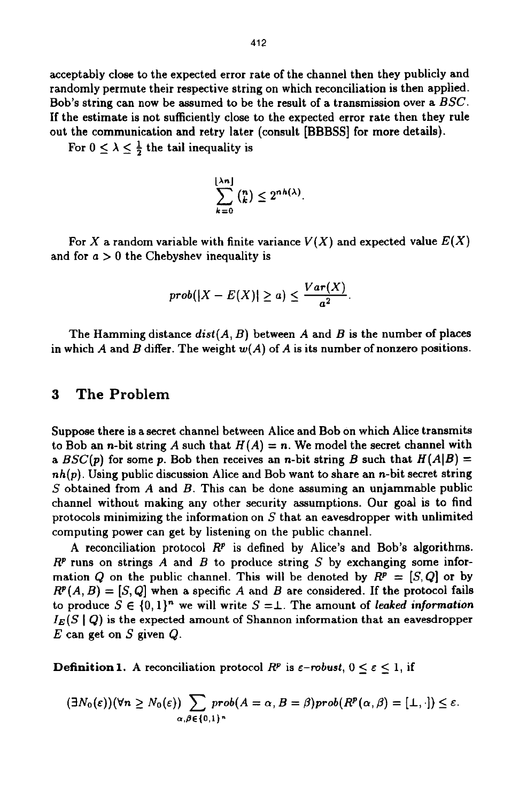acceptably close to the expected error rate of the channel then they publicly and randomly permute their respective string on which reconciliation is then applied. Bob's string can now be assumed to be the result of a transmission over a *BSC.*  If the estimate is not sufficiently close to the expected error rate then they rule out the communication and retry later (consult [BBBSS] for more details).

For  $0 \leq \lambda \leq \frac{1}{2}$  the tail inequality is

$$
\sum_{k=0}^{\lfloor \lambda n \rfloor} \binom{n}{k} \leq 2^{nh(\lambda)}.
$$

For X a random variable with finite variance  $V(X)$  and expected value  $E(X)$ and for  $a > 0$  the Chebyshev inequality is

$$
prob(|X - E(X)| \ge a) \le \frac{Var(X)}{a^2}.
$$

The Hamming distance  $dist(A, B)$  between  $A$  and  $B$  is the number of places in which *A* and *B* differ. The weight *w(A)* of *A* is its number of nonzero positions.

### **3 The Problem**

Suppose there is a secret channel between Alice and Bob on which Alice transmits to Bob an *n*-bit string *A* such that  $H(A) = n$ . We model the secret channel with a  $BSC(p)$  for some p. Bob then receives an n-bit string B such that  $H(A|B) =$ **nh(p).** Using public discussion Alice and Bob want to share an n-bit secret string S obtained from *A* and B. This can be done assuming an unjammable public channel without making any other security assumptions. Our **goal** is to find protocols minimizing the information on  $S$  that an eavesdropper with unlimited computing power can get by listening on the public channel.

A reconciliation protocol *RP* is defined by Alice's and Bob's algorithms. *RP* runs on strings *A* and *B* to produce string S by exchanging some information Q on the public channel. This will be denoted by  $R^p = [S, Q]$  or by  $R^p(A, B) = [S, Q]$  when a specific A and B are considered. If the protocol fails to produce  $S \in \{0,1\}^n$  we will write  $S = \perp$ . The amount of leaked information  $I_E(S \mid Q)$  is the expected amount of Shannon information that an eavesdropper *E* can get on S given *Q.* 

**Definition 1.** A reconciliation protocol  $R^p$  is  $\epsilon$ -robust,  $0 \leq \epsilon \leq 1$ , if

$$
(\exists N_0(\varepsilon))(\forall n\geq N_0(\varepsilon))\sum_{\alpha,\beta\in\{0,1\}^n}prob(A=\alpha,B=\beta)prob(R^p(\alpha,\beta)=[\bot,\cdot])\leq\varepsilon.
$$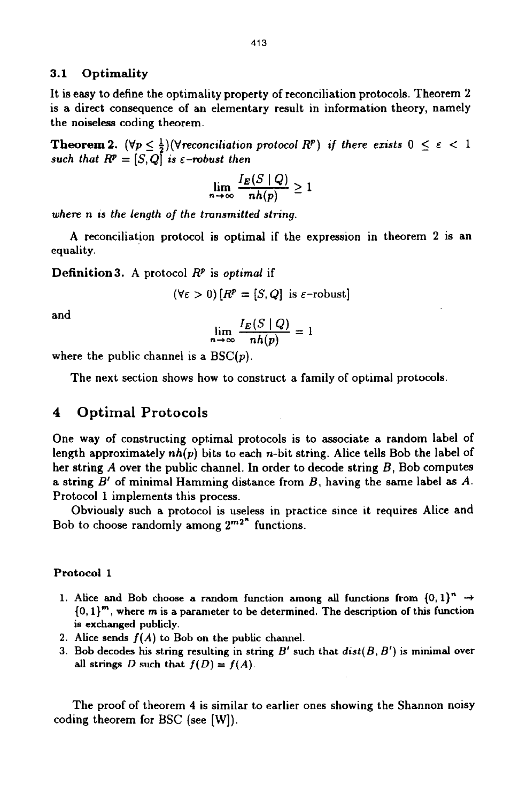#### **3.1 Optimality**

It is easy to define the optimality property of reconciliation protocols. Theorem **2**  is a direct consequence of an elementary result in information theory, namely the noiseless coding theorem.

**Theorem 2.**  $(\forall p \leq \frac{1}{2})(\forall$ reconciliation protocol  $R^p$ ) if there exists  $0 \leq \varepsilon < 1$ such that  $R^p = [S, Q]$  is  $\epsilon$ -robust then

$$
\lim_{n\to\infty}\frac{I_E(S\mid Q)}{nh(p)}\geq 1
$$

*where* **n** *is the length of the tmnsmitted string.* 

A reconciliation protocol is optimal if the expression in theorem 2 is an equality.

**Definition3.** A protocol *RP* is *optimal* if

$$
(\forall \varepsilon > 0) [R^p = [S, Q] \text{ is } \varepsilon\text{-robust}]
$$

and

$$
\lim_{n\to\infty}\frac{I_E(S\mid Q)}{nh(p)}=1
$$

where the public channel is a *BSC(p).* 

The next section shows how to construct a family of optimal protocols.

### **4 Optimal Protocols**

One way of constructing optimal protocols is to associate a random label of length approximately *nh(p)* bits to each n-bit string. Alice tells Bob the label of her string  $A$  over the public channel. In order to decode string  $B$ , Bob computes a string *B'* of minimal Hamming distance from *B,* having the same label **as** *A.*  Protocol 1 implements this process.

Obviously such a protocol is useless in practice since it requires Alice and Bob to choose randomly among **2m2"** functions.

#### **Protocol 1**

- **1.** Alice and Bob choose a random function among all functions from  $\{0,1\}^n \rightarrow$ *(0,* **l}"', where m is a parameter to** be **determined. The description of this function is exchanged publicly.**
- **2. Alice sends f(A) to Bob on the public channel.**
- **3. Bob decodes his string resulting in string** *B'* **such that** *dist(B, B')* **is minimal over**  all strings *D* such that  $f(D) = f(A)$ .

The proof of theorem **4 is** similar **to** earlier ones showing the Shannon noisy coding theorem for BSC (see [W]).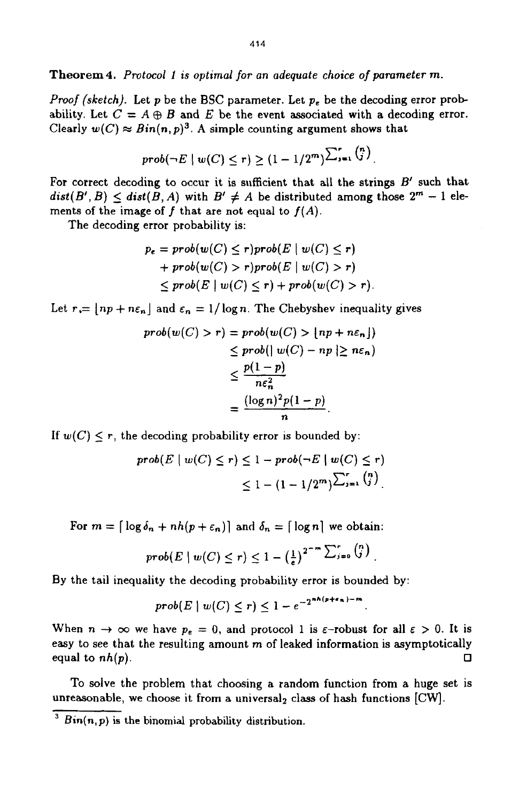**Theorem 4.** *Protocol 1 is optimal for* **an** *adequate choice of parameter m.* 

*Proof (sketch).* Let *p* be the *BSC* parameter. Let *pe* be the decoding error probability. Let  $C = A \oplus B$  and  $E$  be the event associated with a decoding error. Clearly  $w(C) \approx Bin(n,p)^3$ . A simple counting argument shows that

$$
prob(\neg E \mid w(C) \leq r) \geq (1-1/2^m) \sum_{i=1}^r {n \choose i}.
$$

For correct decoding to occur it is sufficient that all the strings  $B'$  such that  $dist(B', B) \leq dist(B, A)$  with  $B' \neq A$  be distributed among those  $2^m - 1$  elements of the image of  $f$  that are not equal to  $f(A)$ .

The decoding error probability is:

$$
p_e = prob(w(C) \le r) prob(E | w(C) \le r)
$$
  
+ 
$$
prob(w(C) > r) prob(E | w(C) > r)
$$
  

$$
\le prob(E | w(C) \le r) + prob(w(C) > r).
$$

Let  $r = |np + n\epsilon_n|$  and  $\epsilon_n = 1/\log n$ . The Chebyshev inequality gives

$$
prob(w(C) > r) = prob(w(C) > \lfloor np + n\varepsilon_n \rfloor)
$$
  
\n
$$
\leq prob(\lfloor w(C) - np \rfloor \geq n\varepsilon_n)
$$
  
\n
$$
\leq \frac{p(1-p)}{n\varepsilon_n^2}
$$
  
\n
$$
= \frac{(\log n)^2 p(1-p)}{n}.
$$

If  $w(C) \leq r$ , the decoding probability error is bounded by:

$$
prob(E \mid w(C) \leq r) \leq 1 - prob(\neg E \mid w(C) \leq r)
$$
  

$$
\leq 1 - (1 - 1/2m) \sum_{j=1}^{r} {n \choose j}
$$

For  $m = \lfloor \log \delta_n + nh(p+\epsilon_n) \rfloor$  and  $\delta_n = \lfloor \log n \rfloor$  we obtain:

$$
prob(E \mid w(C) \leq r) \leq 1 - \left(\frac{1}{e}\right)^{2^{-m} \sum_{j=0}^r {n \choose j}}.
$$

By the tail inequality the decoding probability error is bounded by:

$$
prob(E \mid w(C) \leq r) \leq 1 - e^{-2^{nk(p+\epsilon_n)-m}}
$$

When  $n \to \infty$  we have  $p_e = 0$ , and protocol 1 is  $\varepsilon$ -robust for all  $\varepsilon > 0$ . It is easy to see that the resulting amount  $m$  of leaked information is asymptotically equal to  $nh(p)$ .  $\Box$ 

TO solve the problem that choosing a random function from a huge set **is**  unreasonable, we choose it from a universal<sub>2</sub> class of hash functions [CW].

**Bin(n,** p) is the binomial probability distribution.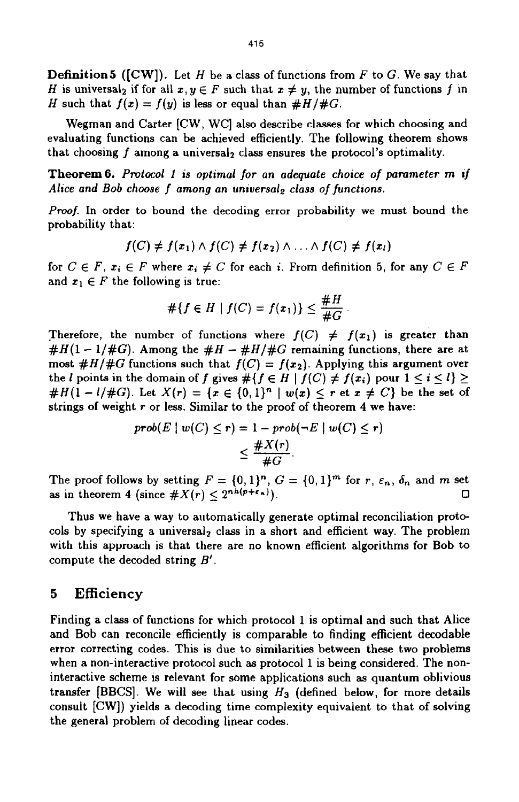Definition5 ([CW]). Let *H* be a class of functions from F to G. We say that H is universal<sub>2</sub> if for all  $x, y \in F$  such that  $x \neq y$ , the number of functions f in H such that  $f(x) = f(y)$  is less or equal than  $#H/HG$ .

Wegman and Carter [CW, WC] also describe classes for which choosing and evaluating functions can be achieved efficiently. The following theorem shows that choosing  $f$  among a universal, class ensures the protocol's optimality.

**Theorem6.** *Protocol 1 is optimal for an adequate choice of pammeter m if Alice and Bob choose f among an universal, class of functions.* 

*Proof.* In order to bound the decoding error probability we must bound the probability that: f(C)  $\neq$   $f(x_1) \land f(C) \neq f(x_2) \land ... \land f(C) \neq f(x_l)$ 

$$
f(C) \neq f(x_1) \land f(C) \neq f(x_2) \land \ldots \land f(C) \neq f(x_l)
$$

for  $C \in F$ ,  $x_i \in F$  where  $x_i \neq C$  for each *i*. From definition 5, for any  $C \in F$ and  $x_1 \in F$  the following is true:

$$
\#\{f\in H\mid f(C)=f(x_1)\}\leq \frac{\#H}{\#G}
$$

Therefore, the number of functions where  $f(C) \neq f(x_1)$  is greater than  $#H(1-1/\#G)$ . Among the  $#H - #H/\#G$  remaining functions, there are at most  $\#H/\#G$  functions such that  $f(C) = f(x_2)$ . Applying this argument over the *l* points in the domain of f gives  $#{f \in H | f(C) \neq f(x_i) \text{ pour } 1 \leq i \leq l} \geq$ # $H(1 - l/#G)$ . Let  $X(r) = \{x \in \{0,1\}^n \mid w(x) \leq r \text{ et } x \neq C\}$  be the set of strings of weight *r* or less. Similar to the proof of theorem **4** we have:

$$
prob(E \mid w(C) \le r) = 1 - prob(\neg E \mid w(C) \le r)
$$

$$
\le \frac{\#X(r)}{\#G}
$$

The proof follows by setting  $F = \{0, 1\}^n$ ,  $G = \{0, 1\}^m$  for  $r, \varepsilon_n$ ,  $\delta_n$  and  $m$  set *0*  as in theorem 4 (since  $#X(r) \leq 2^{nh(p+\epsilon_n)}$ ).

Thus we have a way to automatically generate optimal reconciliation protocols by specifying a universal<sub>2</sub> class in a short and efficient way. The problem with this approach is that there are no known efficient algorithms for Bob to compute the decoded string *B'.* 

### **5 Efficiency**

Finding a class of functions for which protocol 1 is optimal and such that Alice and Bob can reconcile efficiently is comparable to finding efficient decodable error correcting codes. This is due to similarities between these two problems when a non-interactive protocol such **as** protocol 1 is being considered. The noninteractive scheme is relevant, for some applications such **as** quantum oblivious transfer [BBCS]. We will see that using *H3* (defined below, for more details consult **[CW])** yields a decoding time complexity equivalent to that of solving the general problem of decoding linear codes.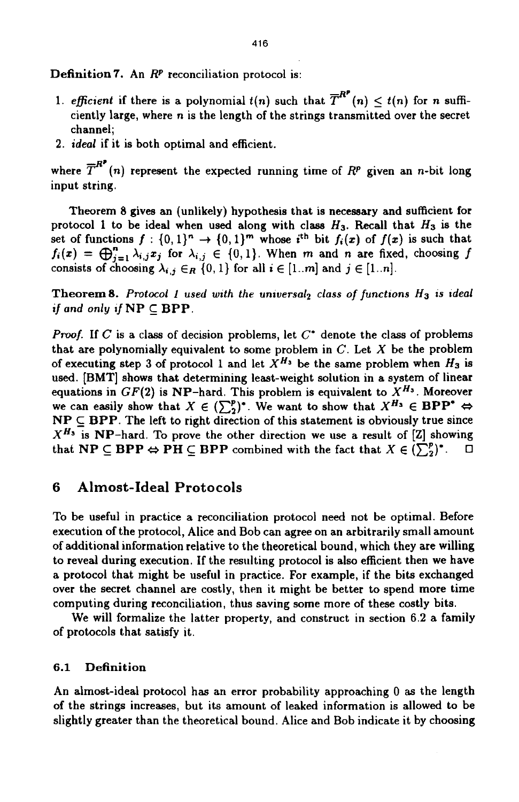Definition *7.* An *RP* reconciliation protocol is:

- 1. *efficient* if there is a polynomial  $t(n)$  such that  $\overline{T}^{R^p}(n) \leq t(n)$  for n sufficiently large, where **n** is the length of the strings transmitted over the secret channel;
- **2.** *ideal* if it is both optimal and efficient.

2. *ideal* if it is both optimal and efficient.<br>where  $\overline{T}^{R^p}(n)$  represent the expected running time of  $R^p$  given an *n*-bit long input string.

Theorem 8 gives an (unlikely) hypothesis that is necessary and sufficient for protocol 1 to be ideal when used along with class *H3.* Recall that *H3* is the set of functions  $f : \{0,1\}^n \to \{0,1\}^m$  whose *i*<sup>th</sup> bit  $f_i(x)$  of  $f(x)$  is such that  $f_i(x) = \bigoplus_{j=1}^n \lambda_{i,j} x_j$  for  $\lambda_{i,j} \in \{0,1\}$ . When *m* and *n* are fixed, choosing *f* consists of choosing  $\lambda_{i,j} \in_R \{0,1\}$  for all  $i \in [1..m]$  and  $j \in [1..n]$ .

**Theorem 8.** Protocol 1 used with the universal, class of functions  $H_3$  is ideal *if and only if*  $NP \subset BPP$ .

*Proof.* If *C* is a class of decision problems, let  $C^*$  denote the class of problems that are polynomially equivalent to some problem in C. Let *X* be the problem of executing step 3 of protocol 1 and let  $X^{H_3}$  be the same problem when  $H_3$  is used. [BMT] shows that determining least-weight solution in a system of linear equations in  $GF(2)$  is NP-hard. This problem is equivalent to  $X^{H_3}$ . Moreover we can easily show that  $X \in (\sum_{i=1}^{p})^*$ . We want to show that  $X^{H_3} \in \mathbf{BPP^*} \Leftrightarrow$  $\mathbf{NP} \subseteq \mathbf{BPP}$ . The left to right direction of this statement is obviously true since  $X^{H_3}$  is NP-hard. To prove the other direction we use a result of [Z] showing that  $\mathbf{NP} \subseteq \mathbf{BPP} \Leftrightarrow \mathbf{PH} \subseteq \mathbf{BPP}$  combined with the fact that  $X \in (\sum_{i=1}^{p})^*$ .

### **6 Almost-Ideal Protocols**

To be useful in practice a reconciliation protocol need not be optimal. Before execution of the protocol, Alice and Bob can agree on an arbitrarily small amount of additional information relative to the theoretical bound, which they are willing to reveal during execution. If the restilting protocol is also efficient then we have a protocol that might be useful in practice. For example, if the bits exchanged over the secret channel are costly, then it might be better to spend more time computing during reconciliation, thus saving some more of these costly bits.

We will formalize the latter property, and construct in section **6.2** a family of protocols that satisfy it.

#### **6.1** Definition

An almost-ideal protocol has an error probability approaching 0 **as** the length of the strings increases, but its amount of leaked information is allowed to be slightly greater than the theoretical bound. Alice and Bob indicate it by choosing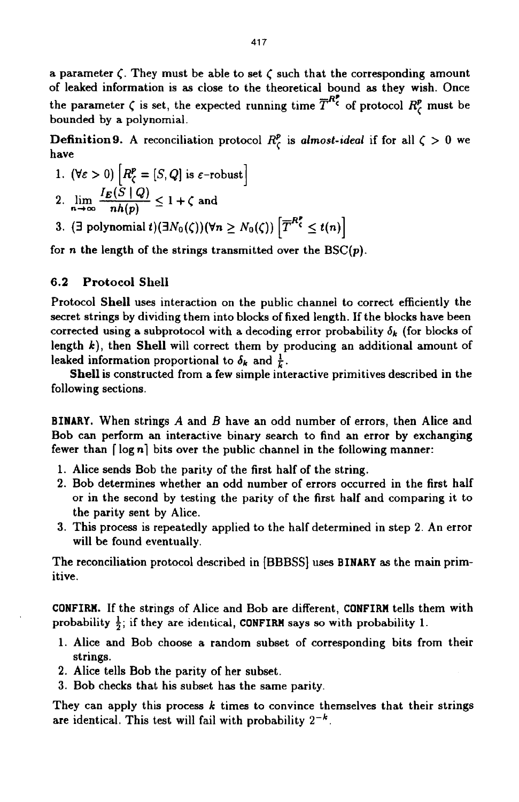a parameter  $\zeta$ . They must be able to set  $\zeta$  such that the corresponding amount of leaked information is **as** close to the theoretical bound **as** they wish. Once the parameter  $\zeta$  is set, the expected running time  $\overline{T}^{R\zeta}$  of protocol  $R^p_{\zeta}$  must be bounded by **a** polynomial.

**Definition 9.** A reconciliation protocol  $R_c^p$  is almost-ideal if for all  $\zeta > 0$  we have

- 1.  $(\forall \varepsilon > 0)$   $\left[ R_{\zeta}^{p} = [S, Q] \text{ is } \varepsilon\text{-robust} \right]$ 2.  $\lim_{n \to \infty} \frac{I_E(S \mid Q)}{nh(p)} \leq 1 + \zeta$  and
- 3. (3 polynomial  $t$ )( $\exists N_0(\zeta)$ )( $\forall n \geq N_0(\zeta)$ )  $\left[ \overline{T}^{R_\zeta^p} \leq t(n) \right]$

for *n* the length of the strings transmitted over the  $BSC(p)$ .

#### **6.2 Protocol Shell**

Protocol **Shell** uses interaction on the public channel to correct efficiently the secret strings by dividing them into blocks of fixed length. If the blocks have been corrected using a subprotocol with a decoding error probability  $\delta_k$  (for blocks of length *k),* then **Shell** will correct them by producing an additional amount of leaked information proportional to  $\delta_k$  and  $\frac{1}{k}$ .

**Shell** is constructed from a few simple interactive primitives described in the following sections.

**BINARY.** When strings *A* and *B* have an odd number of errors, then Alice and Bob can perform an interactive binary search to find an error by exchanging fewer than [ log *nl* bits over the public channel in the following manner:

- 1. Alice sends Bob the parity of the first half of the string.
- **2.** Bob determines whether an odd number of errors occurred in the first half **or** in the second by testing the parity of the first half and comparing it to the parity sent by Alice.
- 3. This process is repeatedly applied to the half determined in step **2.** An error will be found eventually.

The reconciliation protocol described in [BBBSS] uses **BINARY as** the main primitive.

**CONFIRM.** If the strings of Alice and Bob are different, **CONFIRM** tells them with probability  $\frac{1}{2}$ ; if they are identical, **CONFIRM** says so with probability 1.

- 1. Alice and Bob choose a random subset of corresponding bits from their strings.
- **2.** Alice tells Bob the parity of her subset.
- 3. Bob checks that his subset has the same parity.

They can apply this process *k* times to convince themselves that their strings are identical. This test will fail with probability *2-k.*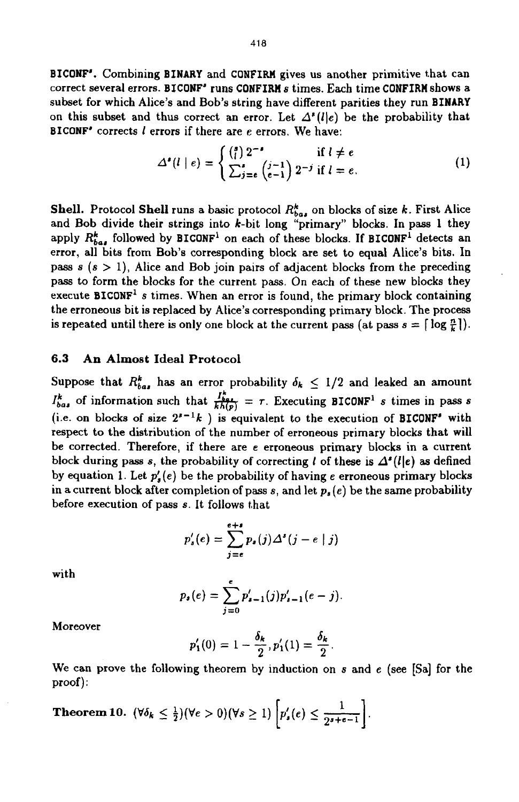**BICONF'.** Combining **BINARY** and **CONFIRM** gives us another primitive that can correct several errors. **BICONF"** runs **CONFIRM s** times. Each time **CONFIRM** shows a subset for which Alice's and Bob's string have different parities they run **BINARY**  on this subset and thus correct an error. Let  $A^*(l)e$ ) be the probability that **BICONF'** corrects *1* errors if there are **e** errors. We have:

$$
\Delta^{\bullet}(l \mid e) = \begin{cases} \binom{s}{l} 2^{-s} & \text{if } l \neq e \\ \sum_{j=e}^{s} \binom{j-1}{e-1} 2^{-j} & \text{if } l = e. \end{cases}
$$
 (1)

**Shell.** Protocol **Shell** runs a basic protocol  $R_{bas}^k$  on blocks of size *k*. First Alice and Bob divide their strings into k-bit long "primary" blocks. In pass 1 they apply  $R_{\text{bat}}^k$  followed by **BICONF**<sup>1</sup> on each of these blocks. If **BICONF**<sup>1</sup> detects an error, all bits from Bob's corresponding block are set to equal Alice's bits. In pass  $s$   $(s > 1)$ , Alice and Bob join pairs of adjacent blocks from the preceding pass to form the blocks for the current pass. On each of these new blocks they execute **BICONF' s** times. When an error is found, the primary block containing the erroneous bit is replaced by Alice's corresponding primary block. The process is repeated until there is only one block at the current pass (at pass  $s = \lceil \log \frac{n}{k} \rceil$ ).

#### **6.3 An Almost Ideal Protocol**

Suppose that  $R_{ba}^k$  has an error probability  $\delta_k \leq 1/2$  and leaked an amount Suppose that  $R_{ba}^k$ , has an error probability  $\delta_k \leq 1/2$  and leaked an amount  $I_{ba}^k$  of information such that  $\frac{I_{ba}^k}{kh(p)} = \tau$ . Executing **BICONF**<sup>1</sup> *s* times in pass *s* (i.e. on blocks of size  $2^{r-1}k$ ) is equivalent to the execution of **BICONF'** with respect to the distribution of the number of erroneous primary blocks that will be corrected. Therefore, if there are e erroneous primary blocks in a current block during pass s, the probability of correcting *l* of these is  $\Delta^s(l|e)$  as defined by equation 1. Let *p:(e)* be the probability of having *e* erroneous primary blocks in **a** current block after completion of pass **s,** and let *ps (e)* be the same probability before execution **of** pass **s.** It **follows** that *I\** 

$$
p'_s(e) = \sum_{j=e}^{e+s} p_s(j) \Delta^s(j-e \mid j)
$$

with 
$$
p_s(e) = \sum_{j=0}^{e} p'_{s-1}(j) p'_{s-1}(e-j).
$$

Moreover

$$
p'_1(0) = 1 - \frac{\delta_k}{2}, p'_1(1) = \frac{\delta_k}{2}.
$$

We can prove the following theorem by induction on **s** and e (see [Sa] for the proof) :

**Theorem 10.** 
$$
(\forall \delta_k \leq \frac{1}{2})(\forall e > 0)(\forall s \geq 1) \left[p'_*(e) \leq \frac{1}{2^{s+e-1}}\right].
$$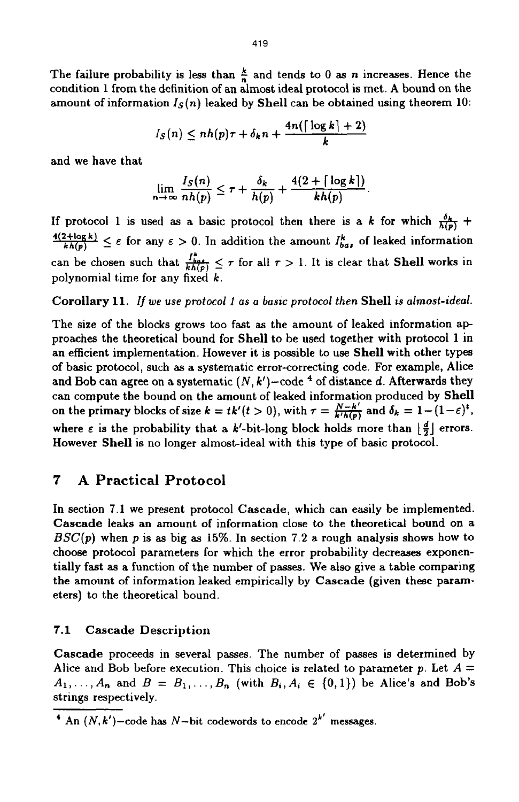The failure probability is less than  $\frac{k}{n}$  and tends to 0 as *n* increases. Hence the condition 1 from the definition of an almost ideal protocol is met. A bound on the amount of information  $I_S(n)$  leaked by **Shell** can be obtained using theorem 10:

$$
I_S(n) \leq nh(p)\tau + \delta_k n + \frac{4n(\lceil \log k \rceil + 2)}{k}
$$

and we have that

$$
\lim_{n\to\infty}\frac{I_S(n)}{nh(p)}\leq \tau+\frac{\delta_k}{h(p)}+\frac{4(2+\lceil\log k\rceil)}{kh(p)}.
$$

If protocol 1 is used as a basic protocol then there is a *k* for which  $\frac{\delta_k}{h(p)}$  +  $\frac{4(2+\log k)}{kh(p)} \leq \varepsilon$  for any  $\varepsilon > 0$ . In addition the amount  $I_{\theta a}^k$ , of leaked information can be chosen such that  $\frac{I_{bot}^2}{kh(p)} \leq \tau$  for all  $\tau > 1$ . It is clear that **Shell** works in polynomial time for any fixed *k.* 

**Corollary 11.** If *we* **use** *protocol 1* as *a lasic protocol then* **Shell** *is* almost-ideal.

The size of the blocks grows too fast **as** the amount of leaked information ap proaches the theoretical bound for **Shell** to be used together with protocol **1** in an efficient implementation. However it is possible to use **Shell** with other types of basic protocol, such **as** a systematic error-correcting code. For example, Alice and Bob can agree on a systematic  $(N, k')$ -code <sup>4</sup> of distance *d*. Afterwards they can compute the bound on the amount of leaked information produced by **Shell**  can compute the bound on the amount of leaked information produced by Shell<br>on the primary blocks of size  $k = tk'(t > 0)$ , with  $\tau = \frac{N-k'}{k'h(p)}$  and  $\delta_k = 1 - (1-\varepsilon)^t$ , where  $\varepsilon$  is the probability that a k'-bit-long block holds more than  $\lfloor \frac{d}{2} \rfloor$  errors. However **Shell** is no longer almost-ideal with this type of basic protocol.

# *7* **A Practical Protocol**

In section **7.1** we present protocol **Cascade,** which can easily be implemented. **Cascade** leaks an amount of information close to the theoretical bound on a *BSC(p)* when *p* is **as** big **as 15%.** In section 7.2 **a** rough analysis shows how to choose protocol parameters for which the error probability decreases exponentially fast **as** a function of the number of passes. We also give a table comparing the amount of information leaked empirically by **Cascade** (given these parameters) to the theoretical bound.

### **7.1 Cascade Description**

**Cascade** proceeds in several passes. The number of passes is determined by Alice and Bob before execution. This choice is related to parameter p. Let  $A =$  $A_1, \ldots, A_n$  and  $B = B_1, \ldots, B_n$  (with  $B_i, A_i \in \{0, 1\}$ ) be Alice's and Bob's strings respectively.

 $\overline{A}$  An  $(N, k')$  -code has N-bit codewords to encode  $2^{k'}$  messages.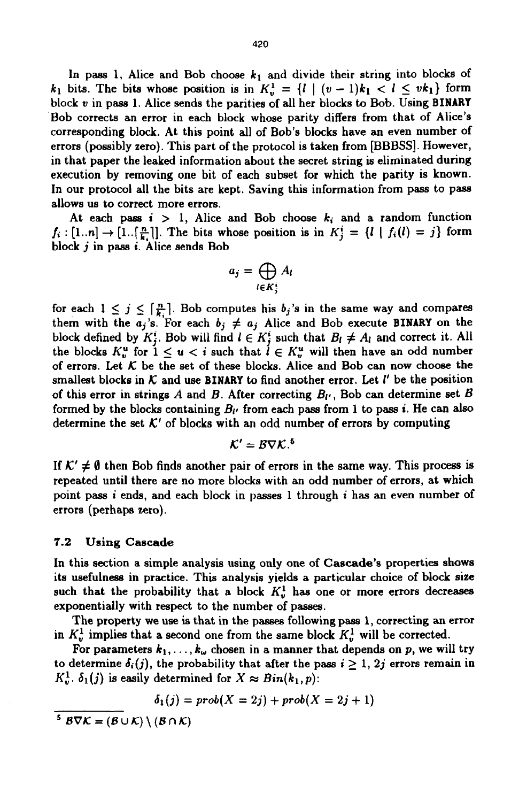In pass 1, Alice and Bob choose  $k_1$  and divide their string into blocks of *k*<sub>1</sub> bits. The bits whose position is in  $K_v^1 = \{l \mid (v-1)k_1 < l \leq vk_1\}$  form block *v* in pass **1.** Alice sends the parities of all her blocks to Bob. Using **BINARY**  Bob corrects an error in each block whose parity differs from that of Alice's corresponding block. At this point all of Bob's blocks have an even number of errors (possibly zero). This part of the protocol is taken from [BBBSS]. However, in that paper the leaked information about the secret string is eliminated during execution by removing one bit of each subset for which the parity is known. In our protocol all the bits are kept. Saving this information from pass to pass allows us to correct more errors,

At each pass  $i > 1$ , Alice and Bob choose  $k_i$  and a random function  $f_i : [1..n] \rightarrow [1..[\frac{n}{k}]]$ . The bits whose position is in  $K_i^i = \{l \mid f_i(l) = j\}$  form block *j* in pass *i.* Alice sends Bob

$$
a_j = \bigoplus_{l \in K^i_j} A_l
$$

for each  $1 \leq j \leq \lceil \frac{n}{k_j} \rceil$ . Bob computes his  $b_j$ 's in the same way and compares them with the  $a_j$ 's. For each  $b_j \neq a_j$  Alice and Bob execute **BINARY** on the block defined by  $K_i^i$ . Bob will find  $l \in K_i^i$  such that  $B_l \neq A_l$  and correct it. All the blocks  $K_v^u$  for  $1 \leq u < i$  such that  $l \in K_v^u$  will then have an odd number of errors. Let *K* be the set of these blocks. Alice and **Bob** can now choose the smallest blocks in  $K$  and use BINARY to find another error. Let  $l'$  be the position of this error in strings A and B. After correcting  $B_{l'}$ , Bob can determine set B formed by the blocks containing  $B_{\ell'}$  from each pass from 1 to pass *i*. He can also determine the set  $K'$  of blocks with an odd number of errors by computing

$$
\mathcal{K}'=\mathcal{B}\nabla\mathcal{K}^{5}
$$

If  $K' \neq \emptyset$  then Bob finds another pair of errors in the same way. This process is repeated until there are no more blocks with an odd number of errors, at which point pass *i* ends, and each block in **passes 1** through *i* has an even number of errors (perhaps zero).

#### **7.2 Using Cascade**

In this section a simple analysis using only one of **Cascade's** properties shows its usefulness in practice. This analysis yields a particular choice of block size such that the probability that a block  $K_v^1$  has one or more errors decreases exponentially with respect to the number of passes.

The property **we** use is that in the passes following pass **1,** correcting **an** error in  $K_v^1$  implies that a second one from the same block  $K_v^1$  will be corrected.

For parameters  $k_1, \ldots, k_\omega$  chosen in a manner that depends on *p*, we will try to determine  $\delta_i(j)$ , the probability that after the pass  $i \geq 1$ ,  $2j$  errors remain in  $K_v^1$ .  $\delta_1(j)$  is easily determined for  $X \approx Bin(k_1, p)$ :

$$
\delta_1(j) = prob(X = 2j) + prob(X = 2j + 1)
$$

 $5\overline{B\nabla\mathcal{K}} = (B\cup\mathcal{K})\setminus(B\cap\mathcal{K})$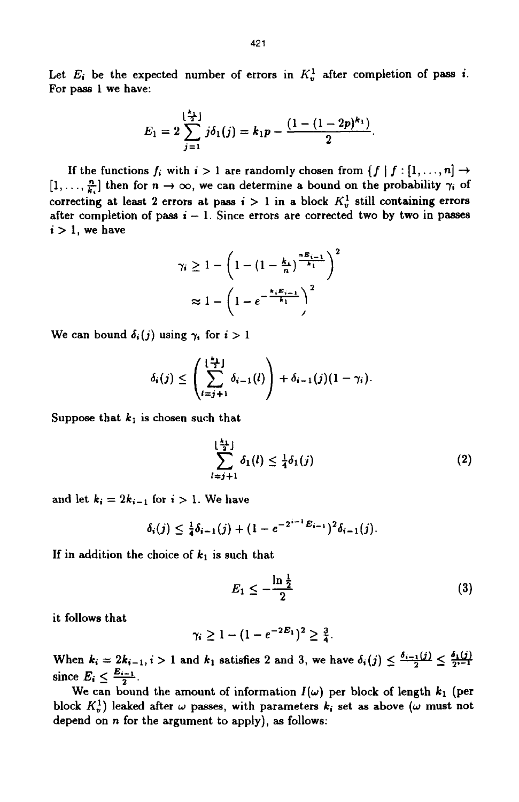Let  $E_i$  be the expected number of errors in  $K_v^1$  after completion of pass *i*. For pass **1** we have:

$$
E_1=2\sum_{j=1}^{\lfloor \frac{k_1}{2} \rfloor} j\delta_1(j)=k_1p-\frac{(1-(1-2p)^{k_1})}{2}.
$$

If the functions  $f_i$  with  $i > 1$  are randomly chosen from  $\{f \mid f : [1, \ldots, n] \rightarrow$  $[1, \ldots, \frac{n}{k}]$  then for  $n \to \infty$ , we can determine a bound on the probability  $\gamma_i$  of correcting at least 2 errors at pass  $i > 1$  in a block  $K_v^1$  still containing errors after completion of pass  $i - 1$ . Since errors are corrected two by two in passes  $i > 1$ , we have

$$
\gamma_i \ge 1 - \left(1 - \left(1 - \frac{k_1}{n}\right)^{\frac{nE_{i-1}}{k_1}}\right)^2
$$

$$
\approx 1 - \left(1 - e^{-\frac{k_1 E_{i-1}}{k_1}}\right)^2
$$

We can bound  $\delta_i(j)$  using  $\gamma_i$  for  $i > 1$ 

$$
\delta_i(j) \leq \left(\sum_{i=j+1}^{\lfloor \frac{k}{2} \rfloor} \delta_{i-1}(l)\right) + \delta_{i-1}(j)(1-\gamma_i).
$$

Suppose that  $k_1$  is chosen such that

$$
\sum_{l=j+1}^{\lfloor \frac{k_1}{2} \rfloor} \delta_1(l) \leq \frac{1}{4} \delta_1(j) \tag{2}
$$

and let  $k_i = 2k_{i-1}$  for  $i > 1$ . We have

$$
\delta_i(j) \leq \frac{1}{4}\delta_{i-1}(j) + (1 - e^{-2^{i-1}E_{i-1}})^2 \delta_{i-1}(j).
$$

If in addition the choice of  $k_1$  is such that

$$
E_1 \leq -\frac{\ln\frac{1}{2}}{2} \tag{3}
$$

it follows that

$$
\gamma_i \geq 1 - (1 - e^{-2E_1})^2 \geq \frac{3}{4}.
$$

When  $k_i = 2k_{i-1}, i > 1$  and  $k_1$  satisfies 2 and 3, we have  $\delta_i(j) \leq \frac{\delta_{i-1}(j)}{2} \leq \frac{\delta_1(j)}{2}$ <br>since  $E_i \leq \frac{E_{i-1}}{2}$ .

We can bound the amount of information  $I(\omega)$  per block of length  $k_1$  (per block  $K_v^1$  leaked after  $\omega$  passes, with parameters  $k_i$  set as above  $(\omega$  must not depend on n for the argument to apply), **as** follows: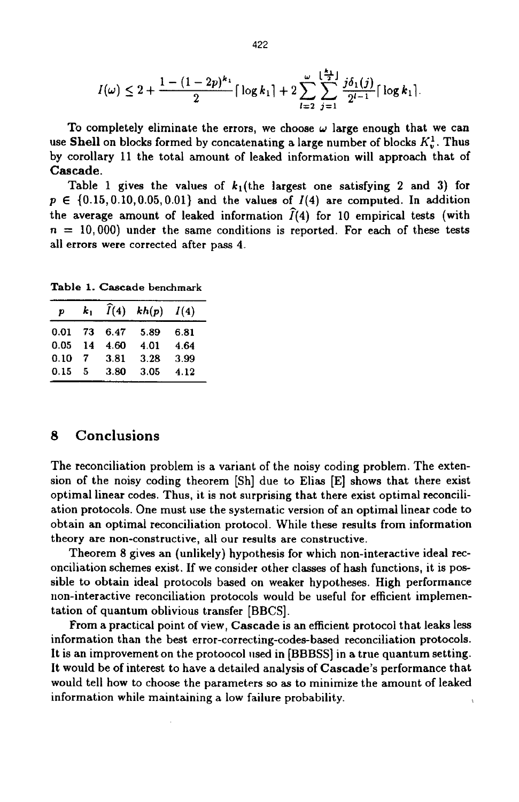$$
I(\omega) \leq 2 + \frac{1 - (1 - 2p)^{k_1}}{2} \lceil \log k_1 \rceil + 2 \sum_{l=2}^{\omega} \sum_{j=1}^{\lfloor \frac{k_1}{2} \rfloor} \frac{j \delta_1(j)}{2^{l-1}} \lceil \log k_1 \rceil.
$$

To completely eliminate the errors, we choose  $\omega$  large enough that we can use Shell on blocks formed by concatenating a large number of blocks  $K_v^1$ . Thus by corollary 11 the total amount of leaked information will approach that of **Cascade.** 

Table 1 gives the values of  $k_1$ (the largest one satisfying 2 and 3) for  $p \in \{0.15, 0.10, 0.05, 0.01\}$  and the values of  $I(4)$  are computed. In addition the average amount of leaked information  $\widehat{I}(4)$  for 10 empirical tests (with  $n = 10,000$ ) under the same conditions is reported. For each of these tests all errors were corrected after pass **4.** 

**Table 1. Cascade benchmark** 

| $\boldsymbol{p}$ | $k_1$ | $\widehat{I}(4)$ | kh(p) | I(4) |
|------------------|-------|------------------|-------|------|
| 0.01             | 73    | 6.47             | 5.89  | 6.81 |
| 0.05             | 14    | 4.60             | 4.01  | 4.64 |
| 0.10             |       | 3.81             | 3.28  | 3.99 |
| 0.15             | 5     | 3.80             | 3.05  | 4.12 |

## *8* **Conclusions**

The reconciliation problem is a variant of the noisy coding problem. The extension of the noisy coding theorem [Sh] due to Elias [El shows that there exist optimal linear codes. Thus, it is not surprising that there exist optimal reconciliation protocols. One must use the systematic version of an optimal linear code to obtain an optimal reconciliation protocol. While these results from information theory are non-constructive, all our results are constructive.

Theorem **8** gives an (unlikely) hypothesis for which non-interactive ideal reconciliation schemes exist. If we consider other classes of hash functions, it is possible to obtain ideal protocols based on weaker hypotheses. High performance non-interactive reconciliation protocols would be useful for efficient implementation of quantum oblivious transfer [BBCS].

From a practical point **of** view, **Cascade** is an efficient protocol that leaks less information than the best error-correcting-codes-based reconciliation protocols. It is an improvement on the protoocol used in [BBBSS] in a true quantum setting. It would be of interest to have a detailed analysis of **Cascade's** performance that would tell how to choose the parameters so **as** to minimize the amount of leaked information while maintaining a low failure probability.